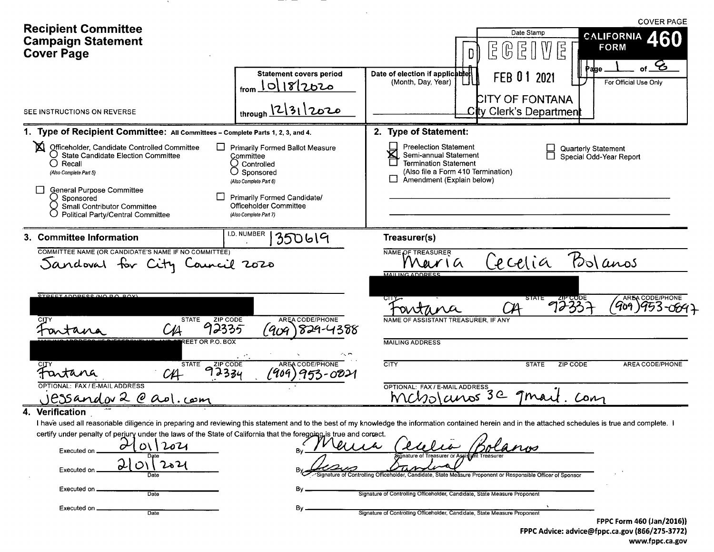| <b>Recipient Committee</b><br><b>Campaign Statement</b><br><b>Cover Page</b>                                                                                                                                                          |                                                                                                                                                                                                    | <b>COVER PAGE</b><br>Date Stamp<br><b>CALIFORNIA</b><br>$\mathbb{G} \, \mathbb{E} \, \mathbb{I}$<br>$\rfloor \mathbb{V}$ E<br><b>FORM</b><br>$\overline{5}$ (<br>DII                                                                                                                                                                                                                                                                    |
|---------------------------------------------------------------------------------------------------------------------------------------------------------------------------------------------------------------------------------------|----------------------------------------------------------------------------------------------------------------------------------------------------------------------------------------------------|-----------------------------------------------------------------------------------------------------------------------------------------------------------------------------------------------------------------------------------------------------------------------------------------------------------------------------------------------------------------------------------------------------------------------------------------|
|                                                                                                                                                                                                                                       | <b>Statement covers period</b><br>$_{from}$ $10 18 2020$                                                                                                                                           | $\mathcal{E}$<br>Page<br>Date of election if applicable<br>FEB 01 2021<br>For Official Use Only<br>(Month, Day, Year)<br><b>CITY OF FONTANA</b>                                                                                                                                                                                                                                                                                         |
| SEE INSTRUCTIONS ON REVERSE                                                                                                                                                                                                           | through $2312020$                                                                                                                                                                                  | City Clerk's Department                                                                                                                                                                                                                                                                                                                                                                                                                 |
| 1. Type of Recipient Committee: All Committees - Complete Parts 1, 2, 3, and 4.                                                                                                                                                       |                                                                                                                                                                                                    | 2. Type of Statement:                                                                                                                                                                                                                                                                                                                                                                                                                   |
| 図<br>Officeholder, Candidate Controlled Committee<br>O State Candidate Election Committee<br>$\bigcirc$ Recall<br>(Also Complete Part 5)<br>General Purpose Committee<br>○ Sponsored<br><b>Small Contributor Committee</b>            | ப<br><b>Primarily Formed Ballot Measure</b><br>Committee<br>$\cup$ Controlled<br>$\cup$ Sponsored<br>(Also Complete Part 6)<br><b>Primarily Formed Candidate/</b><br><b>Officeholder Committee</b> | <b>Preelection Statement</b><br><b>Quarterly Statement</b><br>区<br>Semi-annual Statement<br>Special Odd-Year Report<br><b>Termination Statement</b><br>(Also file a Form 410 Termination)<br>Amendment (Explain below)                                                                                                                                                                                                                  |
| <b>Political Party/Central Committee</b>                                                                                                                                                                                              | (Also Complete Part 7)                                                                                                                                                                             |                                                                                                                                                                                                                                                                                                                                                                                                                                         |
| 3. Committee Information<br>COMMITTEE NAME (OR CANDIDATE'S NAME IF NO COMMITTEE)<br>Sandoval for City Council 2020<br>STREET ADDRESS (NO PO BOX)<br><b>STATE</b><br><b>STATE</b><br>Fartana<br>$C_{\text{H}}$                         | 350619<br>AREA CODE/PHONE<br><b>ZIP CODE</b><br>92335<br>(909<br>829-4388<br><b>REET OR P.O. BOX</b><br><b>AREA CODE/PHONE</b><br>ZIP CODE<br>92334<br>(909)953-0021                               | Treasurer(s)<br>NAME OF TREASURER<br>Polanos<br>Cecelia<br>WarIa<br><b>MAILING ADDRESS</b><br>72337<br>AREA CODE/PHONE<br>STATE<br>'Go9<br>outana<br>NAME OF ASSISTANT TREASURER. IF ANY<br><b>MAILING ADDRESS</b><br><b>CITY</b><br><b>STATE</b><br>ZIP CODE<br>AREA CODE/PHONE                                                                                                                                                        |
| OPTIONAL: FAX / E-MAIL ADDRESS                                                                                                                                                                                                        |                                                                                                                                                                                                    | OPTIONAL: FAX / E-MAIL ADDRESS<br>Mcholauros 3e 9 mai<br>Con                                                                                                                                                                                                                                                                                                                                                                            |
| JESSandov 2 @ ao1. com<br>4. Verification<br>certify under penalty of perjury under the laws of the State of California that the foregoing is true and correct.<br>207<br>Executed on .<br>Executed on<br>Date<br>Executed on<br>Date | By<br>В٧<br>Βy<br>By                                                                                                                                                                               | I have used all reasonable diligence in preparing and reviewing this statement and to the best of my knowledge the information contained herein and in the attached schedules is true and complete. I<br>Signature of Treasurer or Assistan<br>Signature of Controlling Officeholder, Candidate, State Measure Proponent or Responsible Officer of Sponsor<br>Signature of Controlling Officeholder, Candidate, State Measure Proponent |

**COMPANY** 

 $\overline{\phantom{0}}$ 

> FPPC Form 460 (Jan/2016)) FPPC Advice: advice@fppc.ca.gov (866/275-3772) www.fppc.ca.gov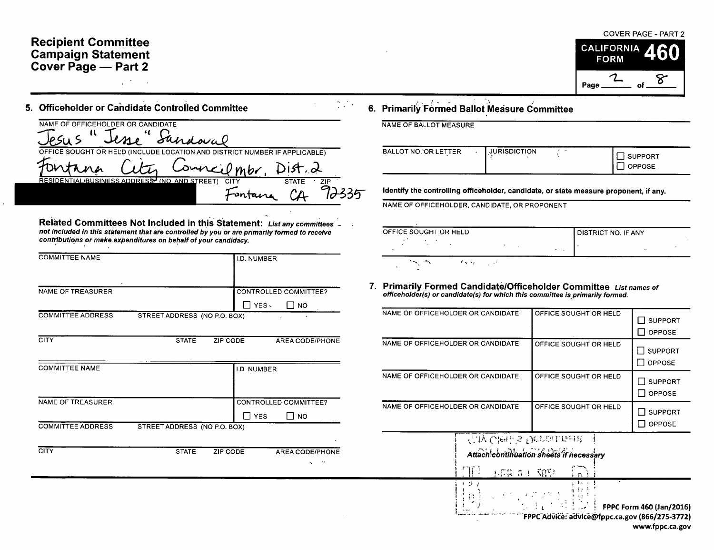### **Recipient Committee Campaign Statement** Cover Page - Part 2

## 5. Officeholder or Candidate Controlled Committee

| NAME OF OFFICEHOLDER OR CANDIDATE                                                           | Sandoval |                    |              |            |
|---------------------------------------------------------------------------------------------|----------|--------------------|--------------|------------|
| OFFICE SOUGHT OR HELD (INCLUDE LOCATION AND DISTRICT NUMBER IF APPLICABLE)<br>$1$ $n_{\mu}$ |          | Conneilmbr, Dist.2 |              |            |
| RESIDENTIAL/BUSINESS ADDRESS (NO. AND STREET)                                               |          | CITY               | <b>STATE</b> | <b>71P</b> |

Related Committees Not Included in this Statement: List any committees \_ not included in this statement that are controlled by you or are primarily formed to receive contributions or make expenditures on behalf of your candidacy.

| <b>COMMITTEE NAME</b>    |                              | I.D. NUMBER                                              |
|--------------------------|------------------------------|----------------------------------------------------------|
| NAME OF TREASURER        |                              | <b>CONTROLLED COMMITTEE?</b><br>YES -<br><b>NO</b><br>ΙI |
| <b>COMMITTEE ADDRESS</b> | STREET ADDRESS (NO P.O. BOX) |                                                          |
| <b>CITY</b>              | <b>STATE</b><br>ZIP CODE     | AREA CODE/PHONE                                          |

| <b>COMMITTEE NAME</b>    |                              |          | <b>I.D NUMBER</b> |                                    |
|--------------------------|------------------------------|----------|-------------------|------------------------------------|
| <b>NAME OF TREASURER</b> |                              |          |                   | <b>CONTROLLED COMMITTEE?</b>       |
|                          |                              |          | <b>YES</b>        | <b>NO</b>                          |
| <b>COMMITTEE ADDRESS</b> | STREET ADDRESS (NO P.O. BOX) |          |                   |                                    |
| <b>CITY</b>              | <b>STATE</b>                 | ZIP CODE |                   | AREA CODE/PHONE<br>$\bullet$<br>۰. |

#### **COVER PAGE - PART 2 CALIFORNIA FORM**



#### 6. Primarily Formed Ballot Measure Committee

NAME OF BALLOT MEASURE

 $\frac{1}{2}$  ,  $\frac{1}{2}$  ,

| <b>SUPPORT</b> |
|----------------|
| <b>OPPOSE</b>  |
|                |

Identify the controlling officeholder, candidate, or state measure proponent, if any.

NAME OF OFFICEHOLDER, CANDIDATE, OR PROPONENT

| OFFICE SOUGHT OR HELD                                        |  | <b>DISTRICT NO. IF ANY</b> |  |
|--------------------------------------------------------------|--|----------------------------|--|
| ٠.                                                           |  | <b>COLL</b>                |  |
| <b><i><u>entre</u></i></b><br><b>CALLS</b><br>$\overline{a}$ |  |                            |  |

# 7. Primarily Formed Candidate/Officeholder Committee List names of officeholder(s) or candidate(s) for which this committee is primarily formed.

| NAME OF OFFICEHOLDER OR CANDIDATE                    | OFFICE SOUGHT OR HELD                   | <b>SUPPORT</b><br><b>OPPOSE</b>                               |
|------------------------------------------------------|-----------------------------------------|---------------------------------------------------------------|
| NAME OF OFFICEHOLDER OR CANDIDATE                    | OFFICE SOUGHT OR HELD                   | <b>SUPPORT</b><br>OPPOSE                                      |
| NAME OF OFFICEHOLDER OR CANDIDATE                    | OFFICE SOUGHT OR HELD                   | <b>SUPPORT</b><br><b>OPPOSE</b>                               |
| NAME OF OFFICEHOLDER OR CANDIDATE                    | OFFICE SOUGHT OR HELD                   | <b>SUPPORT</b><br><b>OPPOSE</b>                               |
| <b>Cay Cleni's Depoil their!</b><br>TH 1<br>早暮 さく 発生 | Attach continuation sheets if necessary |                                                               |
| <b>全国的工作者 经</b><br>Đ.                                |                                         | <b>FPPC Form 460 (Jan/2016)</b><br>@faas.co.com/066/975-9779\ |

FPPC Advice: advice@tppc.ca.gov (866/275-3772) www.fppc.ca.gov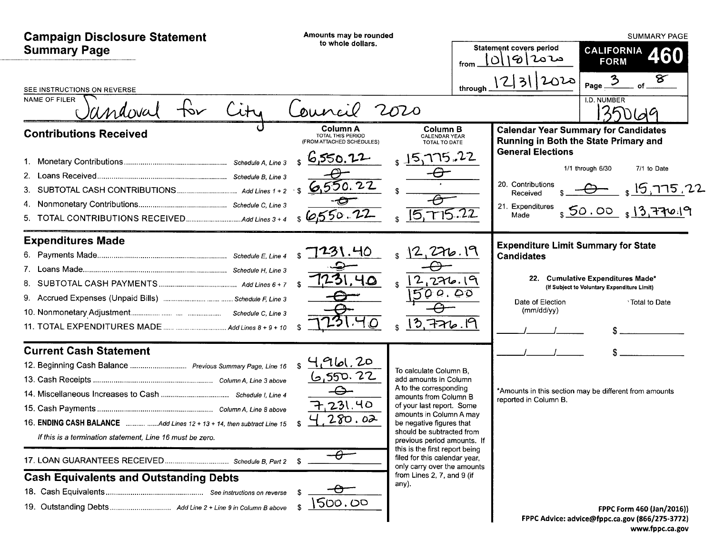| <b>Campaign Disclosure Statement</b><br><b>Summary Page</b>                                                                                                                                               | Amounts may be rounded<br>to whole dollars.                                                               | from                                                                                                                                                                                                                                                                                                                                                                                        | <b>Statement covers period</b><br>$ O 19 20$ مح                                                   | <b>SUMMARY PAGE</b><br><b>CALIFORNIA</b><br><b>460</b><br><b>FORM</b>                                                                                                           |
|-----------------------------------------------------------------------------------------------------------------------------------------------------------------------------------------------------------|-----------------------------------------------------------------------------------------------------------|---------------------------------------------------------------------------------------------------------------------------------------------------------------------------------------------------------------------------------------------------------------------------------------------------------------------------------------------------------------------------------------------|---------------------------------------------------------------------------------------------------|---------------------------------------------------------------------------------------------------------------------------------------------------------------------------------|
| SEE INSTRUCTIONS ON REVERSE<br><b>NAME OF FILER</b><br>Candoval                                                                                                                                           | ouncil                                                                                                    | through<br>2020                                                                                                                                                                                                                                                                                                                                                                             | 2312020                                                                                           | ङ<br>$\mathbf{3}$<br>Page_<br>I.D. NUMBER                                                                                                                                       |
| <b>Contributions Received</b><br>3.<br>5.                                                                                                                                                                 | Column A<br>TOTAL THIS PERIOD<br>(FROM ATTACHED SCHEDULES)<br>6,550.72<br>\$<br>6,550.22<br>6550.22       | <b>Column B</b><br><b>CALENDAR YEAR</b><br>TOTAL TO DATE<br>15,775.22<br>715.22<br>$\sqrt{5}$                                                                                                                                                                                                                                                                                               | <b>General Elections</b><br>20. Contributions<br>Received<br>21. Expenditures<br>Made             | <b>Calendar Year Summary for Candidates</b><br>Running in Both the State Primary and<br>1/1 through 6/30<br>7/1 to Date<br>$_1$ 15,775.22<br>\$50.00<br>$\frac{1}{3}$ 13,770.19 |
| <b>Expenditures Made</b>                                                                                                                                                                                  | 7231.40<br>S.<br>40                                                                                       | 2,276.19<br>2,276.19<br>500.00<br>3,776.19                                                                                                                                                                                                                                                                                                                                                  | <b>Expenditure Limit Summary for State</b><br><b>Candidates</b><br>Date of Election<br>(mm/dd/yy) | 22. Cumulative Expenditures Made*<br>(If Subject to Voluntary Expenditure Limit)<br><sup>3</sup> Total to Date                                                                  |
| <b>Current Cash Statement</b><br>12. Beginning Cash Balance  Previous Summary Page, Line 16<br>If this is a termination statement, Line 16 must be zero.<br><b>Cash Equivalents and Outstanding Debts</b> | 4961,20<br><u>6,550.22</u><br>$\ominus$<br>231.40<br>280.02<br>$-\theta$<br>$\bm{\vartheta}$ -<br>1500.00 | To calculate Column B.<br>add amounts in Column<br>A to the corresponding<br>amounts from Column B<br>of your last report. Some<br>amounts in Column A may<br>be negative figures that<br>should be subtracted from<br>previous period amounts. If<br>this is the first report being<br>filed for this calendar year,<br>only carry over the amounts<br>from Lines 2, 7, and 9 (if<br>any). | reported in Column B.                                                                             | *Amounts in this section may be different from amounts                                                                                                                          |
|                                                                                                                                                                                                           |                                                                                                           |                                                                                                                                                                                                                                                                                                                                                                                             |                                                                                                   | <b>FPPC Form 460 (Jan/2016))</b><br>FPPC Advice: advice@fppc.ca.gov (866/275-3772)                                                                                              |

www.fppc.ca.gov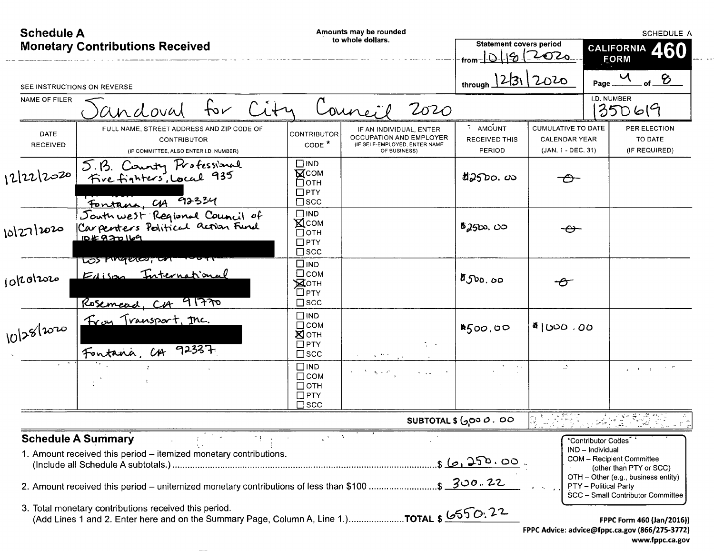| <b>Schedule A</b>                      |                                                                                                                                                                                         |                                                                                | Amounts may be rounded<br>to whole dollars.                                                                                                                                                                                               |                                                     |                                                                  | <b>SCHEDULE A</b>                                                                                                                                                                                          |
|----------------------------------------|-----------------------------------------------------------------------------------------------------------------------------------------------------------------------------------------|--------------------------------------------------------------------------------|-------------------------------------------------------------------------------------------------------------------------------------------------------------------------------------------------------------------------------------------|-----------------------------------------------------|------------------------------------------------------------------|------------------------------------------------------------------------------------------------------------------------------------------------------------------------------------------------------------|
| <b>Monetary Contributions Received</b> |                                                                                                                                                                                         |                                                                                |                                                                                                                                                                                                                                           | <b>Statement covers period</b><br>from⊤             | 01912020                                                         | CALIFORNIA 460<br><b>FORM</b>                                                                                                                                                                              |
|                                        | SEE INSTRUCTIONS ON REVERSE                                                                                                                                                             |                                                                                |                                                                                                                                                                                                                                           | through 12/31 2020                                  |                                                                  | $\frac{u}{u}$ of $\frac{v}{u}$<br>Page.                                                                                                                                                                    |
| NAME OF FILER                          | City<br>fov<br>andoval                                                                                                                                                                  |                                                                                | Council<br>2020                                                                                                                                                                                                                           |                                                     |                                                                  | <b>I.D. NUMBER</b><br>35069                                                                                                                                                                                |
| DATE<br>RECEIVED                       | FULL NAME, STREET ADDRESS AND ZIP CODE OF<br><b>CONTRIBUTOR</b><br>(IF COMMITTEE, ALSO ENTER I.D. NUMBER)                                                                               | CONTRIBUTOR<br>CODE <sup>*</sup>                                               | IF AN INDIVIDUAL, ENTER<br>OCCUPATION AND EMPLOYER<br>(IF SELF-EMPLOYED, ENTER NAME<br>OF BUSINESS)                                                                                                                                       | $\ddot{ }$ AMOUNT<br><b>RECEIVED THIS</b><br>PERIOD | CUMULATIVE TO DATE<br><b>CALENDAR YEAR</b><br>(JAN. 1 - DEC. 31) | PER ELECTION<br>TO DATE<br>(IF REQUIRED)                                                                                                                                                                   |
| 12/22/2020                             | 5.B. County Professional<br>Five fighters, Local 935<br>Fontana, CA 92334                                                                                                               | $\Box$ IND<br><b>NCOM</b><br>่⊟отн<br>$\Box$ PTY<br>$\square$ scc              |                                                                                                                                                                                                                                           | t25D0.00                                            | ╼                                                                |                                                                                                                                                                                                            |
| 10/27/2020                             | South west Regional Council of<br>104820169                                                                                                                                             | $\square$ IND<br>$\mathbb{X}$ COM<br>$\Box$ OTH<br>$\Box$ PTY<br>$\square$ scc |                                                                                                                                                                                                                                           | <i>စီ 2</i> ၅သ. ပ <b>ာ</b>                          | $\rightarrow$                                                    |                                                                                                                                                                                                            |
| jokolzozo                              | Los migues, un von<br>Edison International<br>Rosemead, CA 91770                                                                                                                        | $\square$ IND<br>$\square$ COM<br>Хотн<br><b>□PTY</b><br>$\square$ scc         |                                                                                                                                                                                                                                           | $a_{\text{Jvo},\text{oo}}$                          | ÷A                                                               |                                                                                                                                                                                                            |
| 10/28/2020                             | Froy Transport, Inc.<br>Fontana, CA 92337                                                                                                                                               | $\Box$ IND<br>$\square$ COM<br>Хотн<br>$\square$ PTY<br>$\square$ scc          | $\sim$ 1 $\times$                                                                                                                                                                                                                         | 4500,00                                             | <sup>8</sup> ്≀ ∂ാഗ                                              |                                                                                                                                                                                                            |
|                                        |                                                                                                                                                                                         | $\square$ IND<br>$\Box$ COM<br>□отн<br>$\Box$ PTY<br>$\square$ scc             | $\label{eq:2} \mathcal{F}^{(1)}\left(\mathcal{H}^{(1)}\left(\mathbf{S}_{\mathbf{p}}\right),\mathbf{z}^{(2)}\right)_{\mathbf{p}}\leq\mathcal{F}^{(1)}\left(\mathcal{F}^{(1)}\right)_{\mathbf{p}}$<br>$\mathcal{N} \rightarrow \mathcal{N}$ |                                                     | W.                                                               | $\varphi$ , and $\varphi$ , and $\varphi$ , $\varphi$                                                                                                                                                      |
|                                        |                                                                                                                                                                                         |                                                                                |                                                                                                                                                                                                                                           | SUBTOTAL \$ ( <i>၂</i> ၀၀ <i>ပ</i> . ၀၀             |                                                                  |                                                                                                                                                                                                            |
|                                        | <b>Schedule A Summary</b><br>1. Amount received this period - itemized monetary contributions.<br>2. Amount received this period - unitemized monetary contributions of less than \$100 |                                                                                |                                                                                                                                                                                                                                           | $56.250.00$<br>$5200.22$                            |                                                                  | *Contributor Codes<br>IND - Individual<br><b>COM</b> - Recipient Committee<br>(other than PTY or SCC)<br>OTH - Other (e.g., business entity)<br>PTY - Political Party<br>SCC - Small Contributor Committee |
|                                        | 3. Total monetary contributions received this period.<br>(Add Lines 1 and 2. Enter here and on the Summary Page, Column A, Line 1.)TOTAL \$ 650.22                                      |                                                                                |                                                                                                                                                                                                                                           |                                                     |                                                                  | FPPC Form 460 (Jan/2016))<br>FPPC Advice: advice@fppc.ca.gov (866/275-3772)<br>www.fppc.ca.gov                                                                                                             |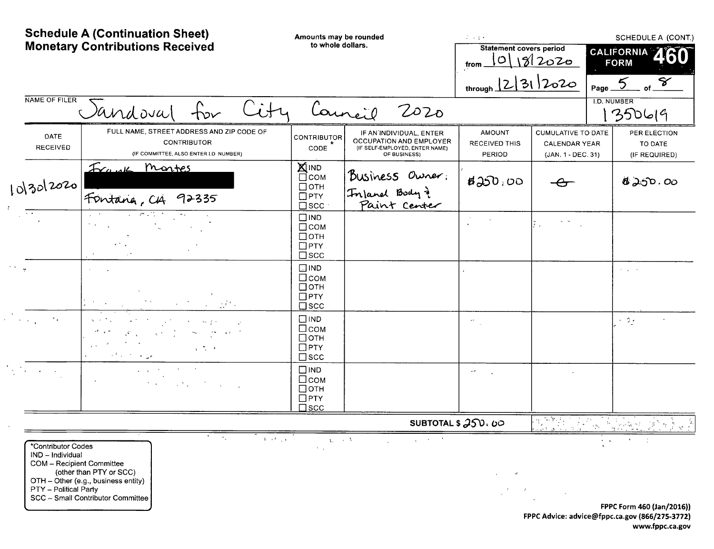|                                                                                 | <b>Schedule A (Continuation Sheet)</b><br><b>Monetary Contributions Received</b>                                                                                                  | Amounts may be rounded<br>to whole dollars.                              |                                                                                                      | $\mathcal{L} \rightarrow \mathcal{L}$ .<br><b>Statement covers period</b><br>from. | 0 18 2020                                                               | CALIFORNIA A<br><b>FORM</b> | SCHEDULE A (CONT.)<br>8                  |
|---------------------------------------------------------------------------------|-----------------------------------------------------------------------------------------------------------------------------------------------------------------------------------|--------------------------------------------------------------------------|------------------------------------------------------------------------------------------------------|------------------------------------------------------------------------------------|-------------------------------------------------------------------------|-----------------------------|------------------------------------------|
|                                                                                 |                                                                                                                                                                                   |                                                                          |                                                                                                      | through $ 2 3 $ 2020                                                               |                                                                         | Page.                       |                                          |
| NAME OF FILER                                                                   | Sandoval                                                                                                                                                                          |                                                                          | Council<br>2020                                                                                      |                                                                                    |                                                                         | <b>I.D. NUMBER</b>          | 350619                                   |
| DATE<br><b>RECEIVED</b>                                                         | FULL NAME, STREET ADDRESS AND ZIP CODE OF<br><b>CONTRIBUTOR</b><br>(IF COMMITTEE, ALSO ENTER I.D NUMBER)                                                                          | <b>CONTRIBUTOR</b><br>CODE                                               | IF AN'INDIVIDUAL, ENTER<br>OCCUPATION AND EMPLOYER<br>(IF SELF-EMPLOYED, ENTER NAME)<br>OF BUSINESS) | <b>AMOUNT</b><br><b>RECEIVED THIS</b><br>PERIOD                                    | <b>CUMULATIVE TO DATE</b><br><b>CALENDAR YEAR</b><br>(JAN. 1 - DEC. 31) |                             | PER ELECTION<br>TO DATE<br>(IF REQUIRED) |
| 10/30/2020                                                                      | Frank Montes<br>Fontana, CA 92335                                                                                                                                                 | <b>XIIND</b><br>⊡сом<br>$\Box$ OTH<br>$\Box$ PTY<br>$\square$ scc        | Business Owner:<br>Inland Body }<br>Paint Center                                                     | 820.00                                                                             |                                                                         |                             | 8200.00                                  |
| $\overline{\cdot}$                                                              |                                                                                                                                                                                   | $\square$ IND<br>$\Box$ COM<br>$\Box$ OTH<br>$\Box$ PTY<br>$\square$ scc |                                                                                                      |                                                                                    | $\mathbb{R}$ .                                                          |                             |                                          |
|                                                                                 |                                                                                                                                                                                   | $\Box$ IND<br>□сом<br>$\Box$ OTH<br>$\Box$ PTY<br>$\square$ scc          |                                                                                                      |                                                                                    |                                                                         | $\sigma_{\rm{max}}=0.5$     |                                          |
|                                                                                 |                                                                                                                                                                                   | $\Box$ IND<br>$\Box$ COM<br>$\Box$ OTH<br>$\Box$ PTY<br>$\square$ scc    |                                                                                                      | $\star\star$                                                                       |                                                                         | $\sim 2\pi$                 |                                          |
| $\mathcal{L}^{\text{max}}(\mathbf{r})$ , $\mathcal{L}^{\text{max}}(\mathbf{r})$ | $\Delta \sim 10^{-10}$ M $_{\odot}$<br>$\label{eq:2} \mathcal{L}(\mathbf{x}) = \mathcal{L}(\mathbf{x}) \mathcal{L}(\mathbf{x}) = \mathcal{L}(\mathbf{x}) \mathcal{L}(\mathbf{x})$ | $\square$ IND<br>$\Box$ COM<br>$\Box$ OTH<br>$\Box$ PTY<br>$\square$ scc |                                                                                                      | $\overline{\phantom{a}}$                                                           |                                                                         |                             |                                          |
|                                                                                 |                                                                                                                                                                                   |                                                                          | SUBTOTAL \$ 250.00                                                                                   |                                                                                    |                                                                         |                             |                                          |

\*Contributor Codes IND - Individual IND - Individual<br>
COM - Recipient Committee<br>
(other than PTY or SCC)<br>
OTH - Other (e.g., business entity)<br>
PTY - Political Party<br>
SCC - Small Contributor Committee ਵਾ ing a

 $\mathcal{L}^{\pm}$ 

 $\overline{1}$  and  $\overline{1}$  and  $\overline{1}$  $\chi_{\rm L} \sim 10^{-4}$  .  $\mathcal{L} = \mathcal{L} \times \mathcal{L} \times \mathcal{L} \times \mathcal{L}$  $\lambda_{\rm max}$ 

 $\frac{1}{2}$  $\sim 0.1$  $\sim 10$ 

 $\sim$   $\sigma$  $\Delta \phi$ 

 $\sim$   $\omega$  $\cdot$ 

> FPPC Form 460 (Jan/2016)) FPPC Advice: advice@fppc.ca.gov (866/275-3772) www.fppc.ca.gov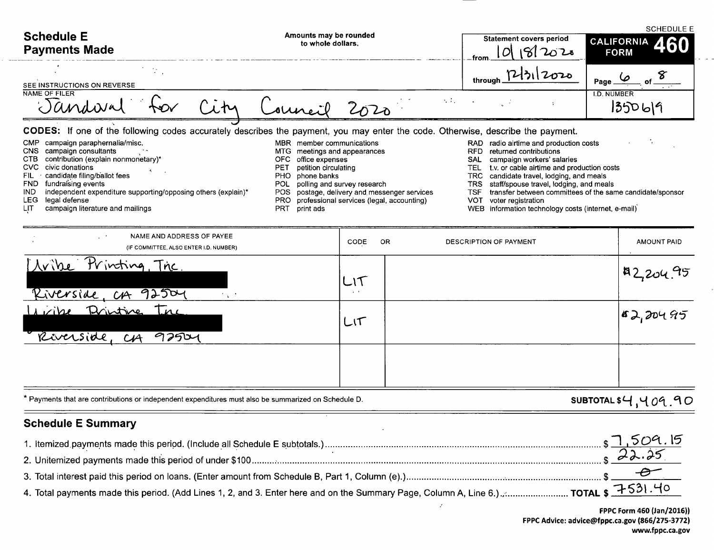| <b>Schedule E</b><br><b>Payments Made</b>                                                                                                                                                                                                                                                                                                                                                                  | Amounts may be rounded<br>to whole dollars.                                                                                                                                                                                                                                                                                                                                                                                                                              | <b>Statement covers period</b><br>82020<br>.from                                                                                                                                                                                                                                                                                                                                                              | <b>SCHEDULE E</b><br>460<br><b>CALIFORNIA</b><br><b>FORM</b> |
|------------------------------------------------------------------------------------------------------------------------------------------------------------------------------------------------------------------------------------------------------------------------------------------------------------------------------------------------------------------------------------------------------------|--------------------------------------------------------------------------------------------------------------------------------------------------------------------------------------------------------------------------------------------------------------------------------------------------------------------------------------------------------------------------------------------------------------------------------------------------------------------------|---------------------------------------------------------------------------------------------------------------------------------------------------------------------------------------------------------------------------------------------------------------------------------------------------------------------------------------------------------------------------------------------------------------|--------------------------------------------------------------|
| $\sim 10^{11}$<br>SEE INSTRUCTIONS ON REVERSE                                                                                                                                                                                                                                                                                                                                                              |                                                                                                                                                                                                                                                                                                                                                                                                                                                                          | 12/31/2020<br>through                                                                                                                                                                                                                                                                                                                                                                                         | Page                                                         |
| NAME OF FILER<br>Jandwa                                                                                                                                                                                                                                                                                                                                                                                    | 2020                                                                                                                                                                                                                                                                                                                                                                                                                                                                     | $\sim 100$                                                                                                                                                                                                                                                                                                                                                                                                    | <b>I.D. NUMBER</b><br>1350619                                |
| <b>CMP</b><br>campaign paraphernalia/misc.<br>CNS<br>campaign consultants<br><b>CTB</b><br>contribution (explain nonmonetary)*<br><b>CVC</b><br>civic donations<br>candidate filing/ballot fees<br>FIL<br>fundraising events<br><b>FND</b><br>independent expenditure supporting/opposing others (explain)*<br><b>IND</b><br><b>LEG</b><br>legal defense<br><b>LIT</b><br>campaign literature and mailings | CODES: If one of the following codes accurately describes the payment, you may enter the code. Otherwise, describe the payment.<br>MBR member communications<br>MTG<br>meetings and appearances<br>OFC office expenses<br>petition circulating<br><b>PET</b><br><b>PHO</b><br>phone banks<br>polling and survey research<br>POL<br>postage, delivery and messenger services<br>POS<br>professional services (legal, accounting)<br><b>PRO</b><br><b>PRT</b><br>print ads | radio airtime and production costs<br><b>RAD</b><br><b>RFD</b><br>returned contributions<br>campaign workers' salaries<br>SAL<br>TEL<br>t.v. or cable airtime and production costs<br><b>TRC</b><br>candidate travel, lodging, and meals<br><b>TRS</b><br>staff/spouse travel, lodging, and meals<br><b>TSF</b><br>VOT<br>voter registration<br><b>WEB</b><br>information technology costs (internet, e-mail) | transfer between committees of the same candidate/sponsor    |
| NAME AND ADDRESS OF PAYEE<br>(IF COMMITTEE, ALSO ENTER I.D. NUMBER)                                                                                                                                                                                                                                                                                                                                        | CODE<br>0R                                                                                                                                                                                                                                                                                                                                                                                                                                                               | DESCRIPTION OF PAYMENT                                                                                                                                                                                                                                                                                                                                                                                        | <b>AMOUNT PAID</b>                                           |
| Printing, The<br>Avibe<br>92504<br>Riverside.<br>C A                                                                                                                                                                                                                                                                                                                                                       | $\sim$ 10 $\pm$                                                                                                                                                                                                                                                                                                                                                                                                                                                          |                                                                                                                                                                                                                                                                                                                                                                                                               | A2,204.95                                                    |

\* Payments that are contributions or independent expenditures must also be summarized on Schedule D.

92504

# **Schedule E Summary**

Riverside

*Avibe* Drintine Inc

 $C_{1}A$ 

|                                                                                                                                       | \$1,509.15 |
|---------------------------------------------------------------------------------------------------------------------------------------|------------|
|                                                                                                                                       |            |
|                                                                                                                                       |            |
| 4. Total payments made this period. (Add Lines 1, 2, and 3. Enter here and on the Summary Page, Column A, Line 6.)  TOTAL \$ 7531. 40 |            |

 $\ddot{\phantom{a}}$ 

 $\mathcal{S}$ 

 $LT$ 

 $|$ 152,20495

SUBTOTAL \$4,409.90

 $\sim$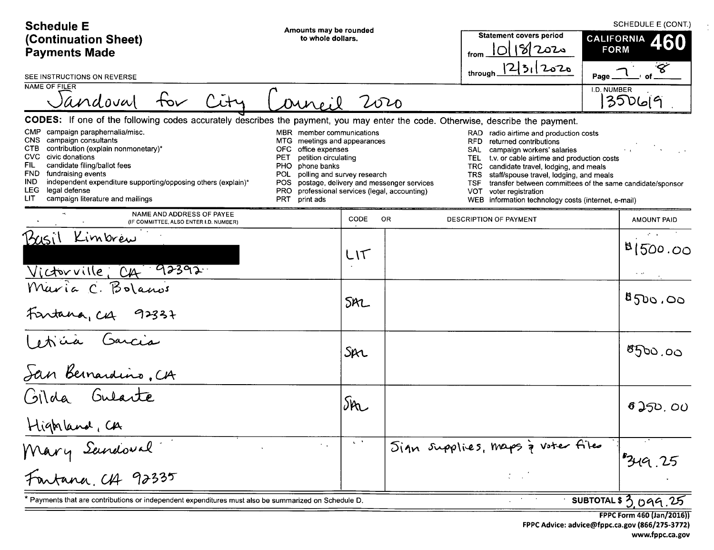| <b>Schedule E</b><br>(Continuation Sheet)<br><b>Payments Made</b>                                                                                                                                                                                                                                                                                                                                                                                                                                                                                                   | Amounts may be rounded<br>to whole dollars.                                                                                                      |  | <b>Statement covers period</b><br>10/18/2020<br>from<br> 2 3 12020                                                                                                                                                                                                                                                                                                                              | SCHEDULE E (CONT.)<br>CALIFORNIA<br>460<br><b>FORM</b>    |  |  |  |  |
|---------------------------------------------------------------------------------------------------------------------------------------------------------------------------------------------------------------------------------------------------------------------------------------------------------------------------------------------------------------------------------------------------------------------------------------------------------------------------------------------------------------------------------------------------------------------|--------------------------------------------------------------------------------------------------------------------------------------------------|--|-------------------------------------------------------------------------------------------------------------------------------------------------------------------------------------------------------------------------------------------------------------------------------------------------------------------------------------------------------------------------------------------------|-----------------------------------------------------------|--|--|--|--|
| SEE INSTRUCTIONS ON REVERSE<br><b>NAME OF FILER</b>                                                                                                                                                                                                                                                                                                                                                                                                                                                                                                                 |                                                                                                                                                  |  | through                                                                                                                                                                                                                                                                                                                                                                                         | Page_                                                     |  |  |  |  |
| Jandoval<br>City<br>oureil                                                                                                                                                                                                                                                                                                                                                                                                                                                                                                                                          | 2020                                                                                                                                             |  |                                                                                                                                                                                                                                                                                                                                                                                                 | I.D. NUMBER<br>35069                                      |  |  |  |  |
| CODES: If one of the following codes accurately describes the payment, you may enter the code. Otherwise, describe the payment.                                                                                                                                                                                                                                                                                                                                                                                                                                     |                                                                                                                                                  |  |                                                                                                                                                                                                                                                                                                                                                                                                 |                                                           |  |  |  |  |
| campaign paraphernalia/misc.<br>CMP<br>MBR member communications<br>CNS.<br>campaign consultants<br>MTG.<br>contribution (explain nonmonetary)*<br>CTB.<br>office expenses<br>OFC.<br><b>CVC</b><br>civic donations<br>petition circulating<br><b>PET</b><br>candidate filing/ballot fees<br>FIL.<br>phone banks<br>PHO.<br><b>FND</b><br>fundraising events<br>POL.<br>IND.<br>independent expenditure supporting/opposing others (explain)*<br>POS.<br>LEG.<br>legal defense<br><b>PRO</b><br>LIT.<br>campaign literature and mailings<br><b>PRT</b><br>print ads | meetings and appearances<br>polling and survey research<br>postage, delivery and messenger services<br>professional services (legal, accounting) |  | RAD radio airtime and production costs<br>RFD.<br>returned contributions<br>campaign workers' salaries<br>SAL<br>t.v. or cable airtime and production costs<br>TEL.<br>TRC.<br>candidate travel, lodging, and meals<br><b>TRS</b><br>staff/spouse travel, lodging, and meals<br><b>TSF</b><br><b>VOT</b><br>voter registration<br><b>WEB</b><br>information technology costs (internet, e-mail) | transfer between committees of the same candidate/sponsor |  |  |  |  |
| NAME AND ADDRESS OF PAYEE<br>(IF COMMITTEE, ALSO ENTER I.D. NUMBER)                                                                                                                                                                                                                                                                                                                                                                                                                                                                                                 | CODE<br>OR.                                                                                                                                      |  | DESCRIPTION OF PAYMENT                                                                                                                                                                                                                                                                                                                                                                          | AMOUNT PAID                                               |  |  |  |  |
| Basil Kimbrew<br>Victorville, CA 92392                                                                                                                                                                                                                                                                                                                                                                                                                                                                                                                              | LIT                                                                                                                                              |  |                                                                                                                                                                                                                                                                                                                                                                                                 | 81500.00                                                  |  |  |  |  |
| Maria C. Bolanos<br>Fantana, CA<br>$9233 +$                                                                                                                                                                                                                                                                                                                                                                                                                                                                                                                         | SAL                                                                                                                                              |  |                                                                                                                                                                                                                                                                                                                                                                                                 | 500,00                                                    |  |  |  |  |
| Leticia Garcia<br>San Bernardino, CA<br>Gilda Gularte                                                                                                                                                                                                                                                                                                                                                                                                                                                                                                               | Spr                                                                                                                                              |  |                                                                                                                                                                                                                                                                                                                                                                                                 | 8500,00                                                   |  |  |  |  |
|                                                                                                                                                                                                                                                                                                                                                                                                                                                                                                                                                                     | Sin                                                                                                                                              |  |                                                                                                                                                                                                                                                                                                                                                                                                 | 6250,00                                                   |  |  |  |  |
| Highland, CA<br>Mary Sandoval<br>Fontana, CA 92335<br>$\tau = \pm 1$                                                                                                                                                                                                                                                                                                                                                                                                                                                                                                | $\mathbf{q} \in \mathbb{R}^n$                                                                                                                    |  | Sign supplies, maps à voter files                                                                                                                                                                                                                                                                                                                                                               | 349.25                                                    |  |  |  |  |
| SUBTOTAL \$ 3.099.25<br>Payments that are contributions or independent expenditures must also be summarized on Schedule D.                                                                                                                                                                                                                                                                                                                                                                                                                                          |                                                                                                                                                  |  |                                                                                                                                                                                                                                                                                                                                                                                                 |                                                           |  |  |  |  |

FPPC Form 460 (Jan/2016)) FPPC Advice: advice@fppc.ca.gov (866/275-3772) www.fppc.ca.gov  $\frac{1}{2}$  .